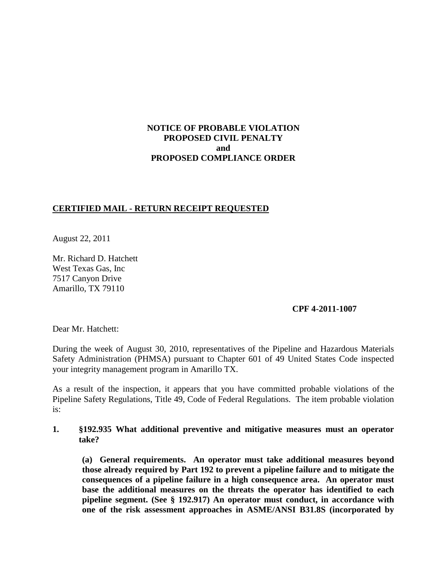# **NOTICE OF PROBABLE VIOLATION PROPOSED CIVIL PENALTY and PROPOSED COMPLIANCE ORDER**

## **CERTIFIED MAIL - RETURN RECEIPT REQUESTED**

August 22, 2011

Mr. Richard D. Hatchett West Texas Gas, Inc 7517 Canyon Drive Amarillo, TX 79110

### **CPF 4-2011-1007**

Dear Mr. Hatchett:

During the week of August 30, 2010, representatives of the Pipeline and Hazardous Materials Safety Administration (PHMSA) pursuant to Chapter 601 of 49 United States Code inspected your integrity management program in Amarillo TX.

As a result of the inspection, it appears that you have committed probable violations of the Pipeline Safety Regulations, Title 49, Code of Federal Regulations. The item probable violation is:

## **1. §192.935 What additional preventive and mitigative measures must an operator take?**

**(a) General requirements. An operator must take additional measures beyond those already required by Part 192 to prevent a pipeline failure and to mitigate the consequences of a pipeline failure in a high consequence area. An operator must base the additional measures on the threats the operator has identified to each pipeline segment. (See § 192.917) An operator must conduct, in accordance with one of the risk assessment approaches in ASME/ANSI B31.8S (incorporated by**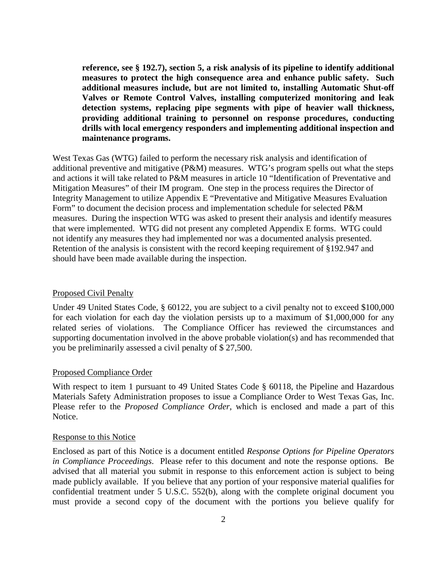**reference, see § 192.7), section 5, a risk analysis of its pipeline to identify additional measures to protect the high consequence area and enhance public safety. Such additional measures include, but are not limited to, installing Automatic Shut-off Valves or Remote Control Valves, installing computerized monitoring and leak detection systems, replacing pipe segments with pipe of heavier wall thickness, providing additional training to personnel on response procedures, conducting drills with local emergency responders and implementing additional inspection and maintenance programs.**

West Texas Gas (WTG) failed to perform the necessary risk analysis and identification of additional preventive and mitigative (P&M) measures. WTG's program spells out what the steps and actions it will take related to P&M measures in article 10 "Identification of Preventative and Mitigation Measures" of their IM program. One step in the process requires the Director of Integrity Management to utilize Appendix E "Preventative and Mitigative Measures Evaluation Form" to document the decision process and implementation schedule for selected P&M measures. During the inspection WTG was asked to present their analysis and identify measures that were implemented. WTG did not present any completed Appendix E forms. WTG could not identify any measures they had implemented nor was a documented analysis presented. Retention of the analysis is consistent with the record keeping requirement of §192.947 and should have been made available during the inspection.

#### Proposed Civil Penalty

Under 49 United States Code, § 60122, you are subject to a civil penalty not to exceed \$100,000 for each violation for each day the violation persists up to a maximum of \$1,000,000 for any related series of violations. The Compliance Officer has reviewed the circumstances and supporting documentation involved in the above probable violation(s) and has recommended that you be preliminarily assessed a civil penalty of \$ 27,500.

### Proposed Compliance Order

With respect to item 1 pursuant to 49 United States Code § 60118, the Pipeline and Hazardous Materials Safety Administration proposes to issue a Compliance Order to West Texas Gas, Inc. Please refer to the *Proposed Compliance Order*, which is enclosed and made a part of this Notice.

#### Response to this Notice

Enclosed as part of this Notice is a document entitled *Response Options for Pipeline Operators in Compliance Proceedings*. Please refer to this document and note the response options. Be advised that all material you submit in response to this enforcement action is subject to being made publicly available. If you believe that any portion of your responsive material qualifies for confidential treatment under 5 U.S.C. 552(b), along with the complete original document you must provide a second copy of the document with the portions you believe qualify for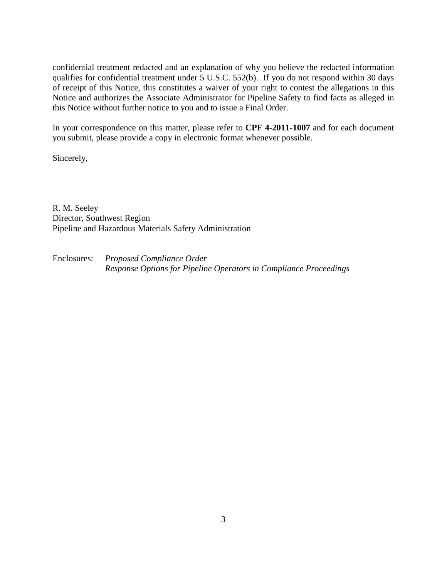confidential treatment redacted and an explanation of why you believe the redacted information qualifies for confidential treatment under 5 U.S.C. 552(b). If you do not respond within 30 days of receipt of this Notice, this constitutes a waiver of your right to contest the allegations in this Notice and authorizes the Associate Administrator for Pipeline Safety to find facts as alleged in this Notice without further notice to you and to issue a Final Order.

In your correspondence on this matter, please refer to **CPF 4-2011-1007** and for each document you submit, please provide a copy in electronic format whenever possible.

Sincerely,

R. M. Seeley Director, Southwest Region Pipeline and Hazardous Materials Safety Administration

Enclosures: *Proposed Compliance Order Response Options for Pipeline Operators in Compliance Proceedings*